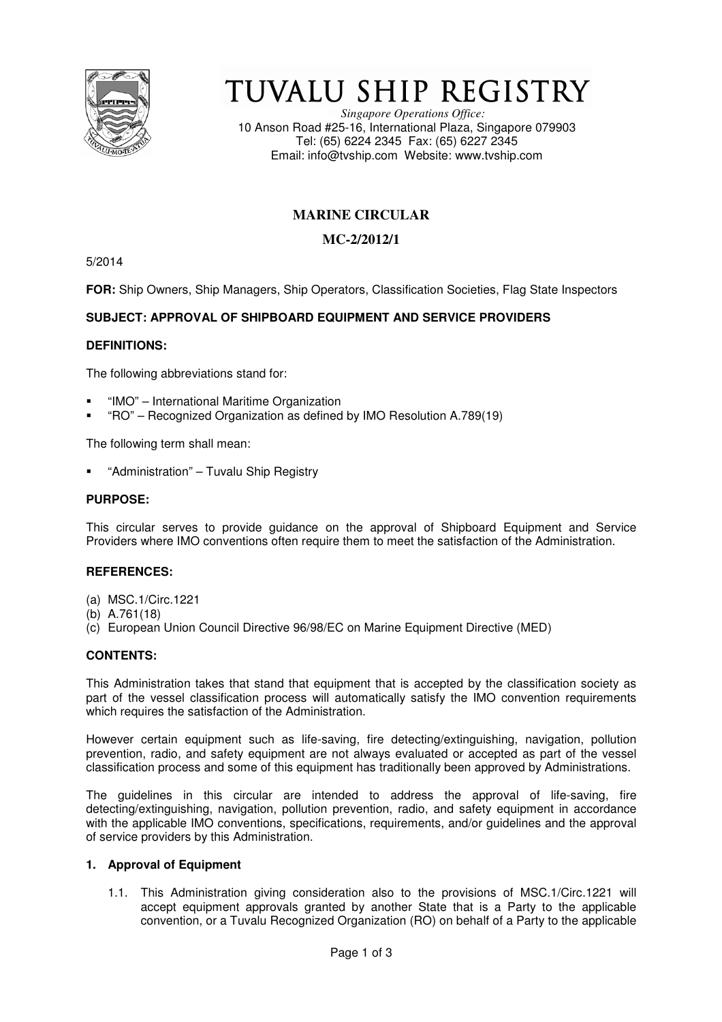

# TUVALU SHIP REGISTRY

*Singapore Operations Office:* 10 Anson Road #25-16, International Plaza, Singapore 079903 Tel: (65) 6224 2345 Fax: (65) 6227 2345 Email: info@tvship.com Website: www.tvship.com

# **MARINE CIRCULAR**

## **MC-2/2012/1**

5/2014

**FOR:** Ship Owners, Ship Managers, Ship Operators, Classification Societies, Flag State Inspectors

## **SUBJECT: APPROVAL OF SHIPBOARD EQUIPMENT AND SERVICE PROVIDERS**

## **DEFINITIONS:**

The following abbreviations stand for:

- "IMO" International Maritime Organization
- "RO" Recognized Organization as defined by IMO Resolution A.789(19)

The following term shall mean:

"Administration" – Tuvalu Ship Registry

## **PURPOSE:**

This circular serves to provide guidance on the approval of Shipboard Equipment and Service Providers where IMO conventions often require them to meet the satisfaction of the Administration.

## **REFERENCES:**

- (a) MSC.1/Circ.1221
- (b) A.761(18)
- (c) European Union Council Directive 96/98/EC on Marine Equipment Directive (MED)

## **CONTENTS:**

This Administration takes that stand that equipment that is accepted by the classification society as part of the vessel classification process will automatically satisfy the IMO convention requirements which requires the satisfaction of the Administration.

However certain equipment such as life-saving, fire detecting/extinguishing, navigation, pollution prevention, radio, and safety equipment are not always evaluated or accepted as part of the vessel classification process and some of this equipment has traditionally been approved by Administrations.

The guidelines in this circular are intended to address the approval of life-saving, fire detecting/extinguishing, navigation, pollution prevention, radio, and safety equipment in accordance with the applicable IMO conventions, specifications, requirements, and/or guidelines and the approval of service providers by this Administration.

#### **1. Approval of Equipment**

1.1. This Administration giving consideration also to the provisions of MSC.1/Circ.1221 will accept equipment approvals granted by another State that is a Party to the applicable convention, or a Tuvalu Recognized Organization (RO) on behalf of a Party to the applicable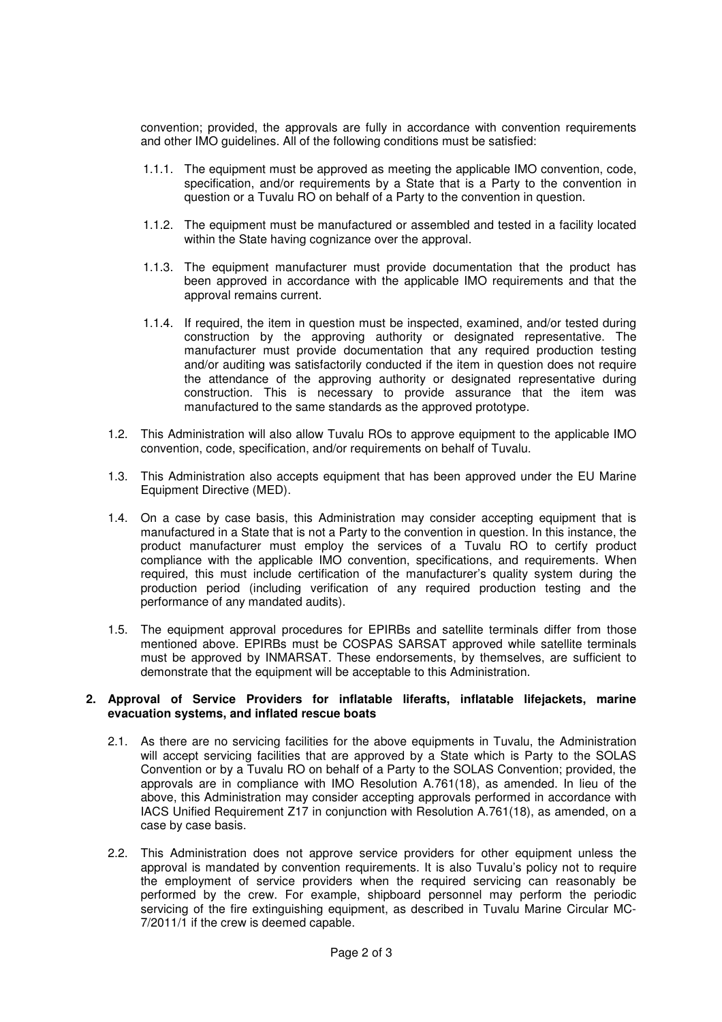convention; provided, the approvals are fully in accordance with convention requirements and other IMO guidelines. All of the following conditions must be satisfied:

- 1.1.1. The equipment must be approved as meeting the applicable IMO convention, code, specification, and/or requirements by a State that is a Party to the convention in question or a Tuvalu RO on behalf of a Party to the convention in question.
- 1.1.2. The equipment must be manufactured or assembled and tested in a facility located within the State having cognizance over the approval.
- 1.1.3. The equipment manufacturer must provide documentation that the product has been approved in accordance with the applicable IMO requirements and that the approval remains current.
- 1.1.4. If required, the item in question must be inspected, examined, and/or tested during construction by the approving authority or designated representative. The manufacturer must provide documentation that any required production testing and/or auditing was satisfactorily conducted if the item in question does not require the attendance of the approving authority or designated representative during construction. This is necessary to provide assurance that the item was manufactured to the same standards as the approved prototype.
- 1.2. This Administration will also allow Tuvalu ROs to approve equipment to the applicable IMO convention, code, specification, and/or requirements on behalf of Tuvalu.
- 1.3. This Administration also accepts equipment that has been approved under the EU Marine Equipment Directive (MED).
- 1.4. On a case by case basis, this Administration may consider accepting equipment that is manufactured in a State that is not a Party to the convention in question. In this instance, the product manufacturer must employ the services of a Tuvalu RO to certify product compliance with the applicable IMO convention, specifications, and requirements. When required, this must include certification of the manufacturer's quality system during the production period (including verification of any required production testing and the performance of any mandated audits).
- 1.5. The equipment approval procedures for EPIRBs and satellite terminals differ from those mentioned above. EPIRBs must be COSPAS SARSAT approved while satellite terminals must be approved by INMARSAT. These endorsements, by themselves, are sufficient to demonstrate that the equipment will be acceptable to this Administration.

#### **2. Approval of Service Providers for inflatable liferafts, inflatable lifejackets, marine evacuation systems, and inflated rescue boats**

- 2.1. As there are no servicing facilities for the above equipments in Tuvalu, the Administration will accept servicing facilities that are approved by a State which is Party to the SOLAS Convention or by a Tuvalu RO on behalf of a Party to the SOLAS Convention; provided, the approvals are in compliance with IMO Resolution A.761(18), as amended. In lieu of the above, this Administration may consider accepting approvals performed in accordance with IACS Unified Requirement Z17 in conjunction with Resolution A.761(18), as amended, on a case by case basis.
- 2.2. This Administration does not approve service providers for other equipment unless the approval is mandated by convention requirements. It is also Tuvalu's policy not to require the employment of service providers when the required servicing can reasonably be performed by the crew. For example, shipboard personnel may perform the periodic servicing of the fire extinguishing equipment, as described in Tuvalu Marine Circular MC-7/2011/1 if the crew is deemed capable.